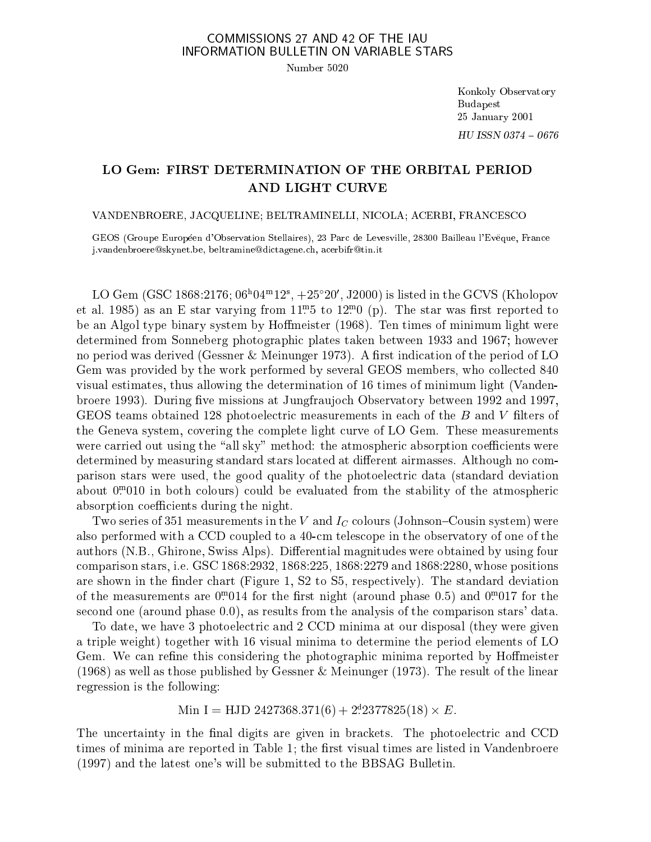## COMMISSIONS 27 AND 42 OF THE IAU INFORMATION BULLETIN ON VARIABLE STARS

Number 5020

Konkoly Observatory Budapest 25 January 2001  $HU$  ISSN 0374  $-0676$ 

## LO Gem: FIRST DETERMINATION OF THE ORBITAL PERIOD AND LIGHT CURVE

## VANDENBROERE, JACQUELINE; BELTRAMINELLI, NICOLA; ACERBI, FRANCESCO

GEOS (Groupe Européen d'Observation Stellaires), 23 Parc de Levesville, 28300 Bailleau l'Evëque, France j.vandenbroereskynet.be, beltraminedi
tagene.
h, a
erbifrtin.it

LO Gem (GSC 1808.2170; 06 04 TZ,  $+25$  Z0, J2000) is listed in the GCVS (Kholopov et al. 1985) as an E-star varying from 11. 5 to 12. 0 (p). The star was hist reported to be an Algol type binary system by Homeister (1968). Ten times of minimum light were determined from Sonneberg photographic plates taken between 1933 and 1967; however no period was derived (Gessner & Meinunger 1973). A first indication of the period of LO Gem was provided by the work performed by several GEOS members, who collected 840 visual estimates, thus allowing the determination of 16 times of minimum light (Vandenbroere 1993). During five missions at Jungfraujoch Observatory between 1992 and 1997, GEOS teams obtained 128 photoelectric measurements in each of the B and V filters of the Geneva system, overing the omplete light urve of LO Gem. These measurements were carried out using the "all sky" method: the atmospheric absorption coefficients were determined by measuring standard stars located at different airmasses. Although no comparison stars were used, the good quality of the photoele
tri data (standard deviation about 0<del>.</del> Olo in both colours) could be evaluated from the stability of the atmospheric absorption coefficients during the night.

Two series of 351 measurements in the V and  $I_C$  colours (Johnson–Cousin system) were also performed with a CCD oupled to a 40m teles
ope in the observatory of one of the authors (N.B., Ghirone, Swiss Alps). Differential magnitudes were obtained by using four omparison stars, i.e. GSC 1868:2932, 1868:225, 1868:2279 and 1868:2280, whose positions are shown in the finder chart (Figure 1, S2 to S5, respectively). The standard deviation of the measurements are 0.014 for the first night (around phase 0.5) and 0.017 for the se
ond one (around phase 0.0), as results from the analysis of the omparison stars' data.

To date, we have 3 photoelectric and 2 CCD minima at our disposal (they were given a triple weight) together with 16 visual minima to determine the period elements of LO Gem. We can refine this considering the photographic minima reported by Hoffmeister (1968) as well as those published by Gessner & Meinunger (1973). The result of the linear regression is the following:

MIN  $I = HJD 2427308.371(0) + 272377823(18) \times E.$ 

The uncertainty in the final digits are given in brackets. The photoelectric and CCD times of minima are reported in Table 1; the first visual times are listed in Vandenbroere (1997) and the latest one's will be submitted to the BBSAG Bulletin.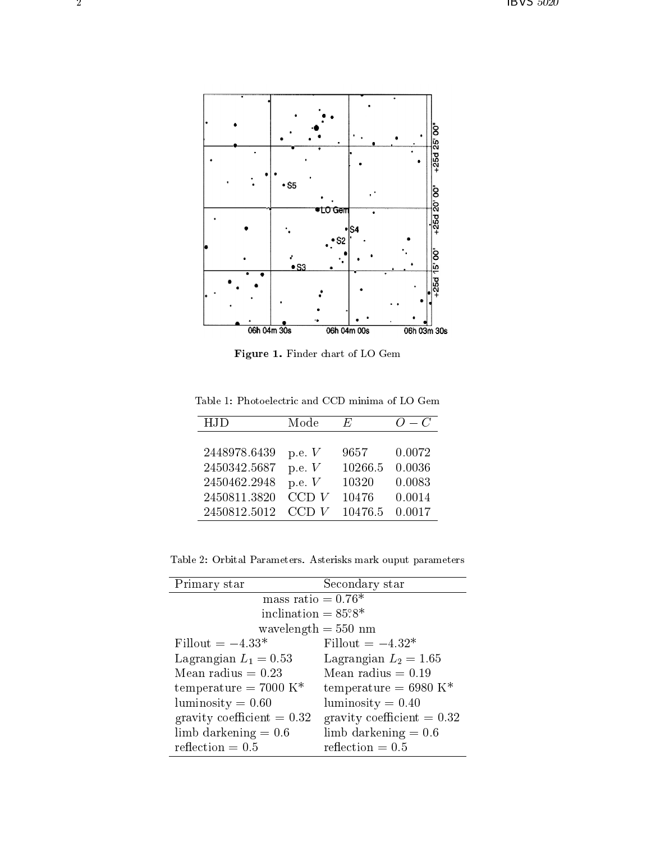

Figure 1. Finder hart of LO Gem

Table 1: Photoelectric and CCD minima of LO Gem

| <b>HJD</b>   | Mode     | E,      | $O-C$  |
|--------------|----------|---------|--------|
|              |          |         |        |
| 2448978.6439 | p.e. $V$ | 9657    | 0.0072 |
| 2450342.5687 | p.e. $V$ | 10266.5 | 0.0036 |
| 2450462.2948 | p.e. $V$ | 10320   | 0.0083 |
| 2450811.3820 | CCD V    | 10476   | 0.0014 |
| 2450812.5012 | CCD<br>V | 10476.5 | 0.0017 |

Table 2: Orbital Parameters. Asterisks mark ouput parameters

| Primary star                    | Secondary star                    |  |
|---------------------------------|-----------------------------------|--|
| mass ratio = $\overline{0.76*}$ |                                   |  |
| inclination $= 85^\circ 8^*$    |                                   |  |
| wavelength $= 550$ nm           |                                   |  |
| Fillout $= -4.33*$              | Fillout $= -4.32*$                |  |
| Lagrangian $L_1 = 0.53$         | Lagrangian $L_2 = 1.65$           |  |
| Mean radius $= 0.23$            | Mean radius $= 0.19$              |  |
| temperature = $7000~K^*$        | temperature = 6980 K <sup>*</sup> |  |
| luminosity $= 0.60$             | luminosity $= 0.40$               |  |
| gravity coefficient $= 0.32$    | gravity coefficient $= 0.32$      |  |
| limb darkening $= 0.6$          | limb darkening $= 0.6$            |  |
| reflection $= 0.5$              | reflection $= 0.5$                |  |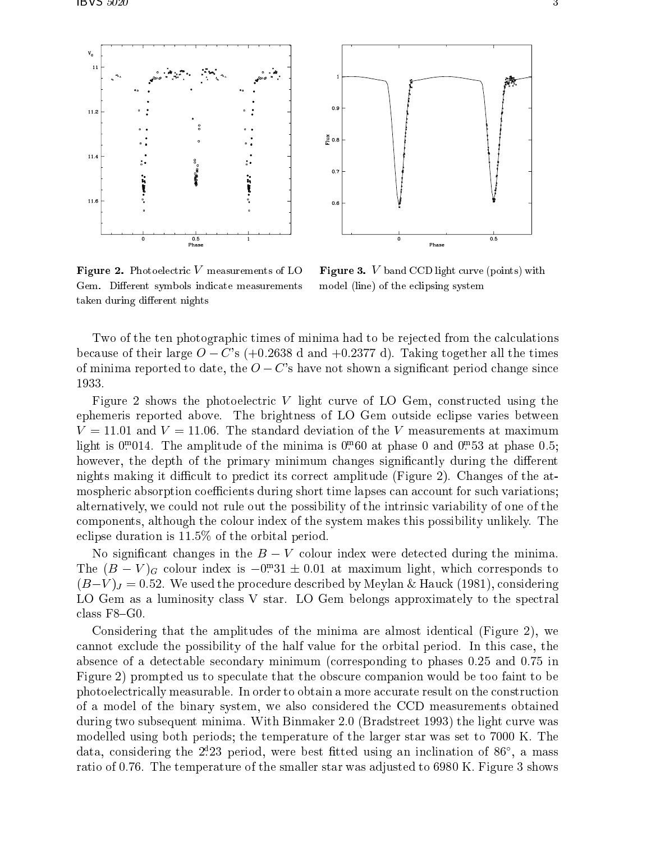

Figure 2. Photoele
tri <sup>V</sup> measurements of LO Gem. Different symbols indicate measurements taken during different nights

Figure 3. <sup>V</sup> band CCD light urve (points) with model (line) of the e
lipsing system

Two of the ten photographic times of minima had to be rejected from the calculations because of their large  $O - C'$ s (+0.2638 d and +0.2377 d). Taking together all the times of minima reported to date, the  $O - C$ 's have not shown a significant period change since 1933.

Figure 2 shows the photoelectric V light curve of LO Gem, constructed using the ephemeris reported above. The brightness of LO Gem outside e
lipse varies between  $V = 11.01$  and  $V = 11.06$ . The standard deviation of the V measurements at maximum  $\min$  is 0.014. The amplitude of the minima is 0.00 at phase 0 and 0.55 at phase 0.5; however, the depth of the primary minimum changes significantly during the different nights making it difficult to predict its correct amplitude (Figure 2). Changes of the atmospheric absorption coefficients during short time lapses can account for such variations; alternatively, we could not rule out the possibility of the intrinsic variability of one of the omponents, although the olour index of the system makes this possibility unlikely. The e
lipse duration is 11.5% of the orbital period.

No significant changes in the  $B-V$  colour index were detected during the minima. The  $(D - V)G$  colour index is  $-0.31 \pm 0.01$  at maximum light, which corresponds to  $(B-V)_J = 0.52$ . We used the procedure described by Meylan & Hauck (1981), considering LO Gem as a luminosity class V star. LO Gem belongs approximately to the spectral class  $F8-G0$ 

Considering that the amplitudes of the minima are almost identical (Figure 2), we annot ex
lude the possibility of the half value for the orbital period. In this ase, the absen
e of a dete
table se
ondary minimum (
orresponding to phases 0.25 and 0.75 in Figure 2) prompted us to spe
ulate that the obs
ure ompanion would be too faint to be photoelectrically measurable. In order to obtain a more accurate result on the construction of a model of the binary system, we also onsidered the CCD measurements obtained during two subsequent minima. With Binmaker 2.0 (Bradstreet 1993) the light curve was modelled using both periods; the temperature of the larger star was set to 7000 K. The data, considering the 2.25 period, were best inted using an inclination of 80 , a mass ratio of 0.76. The temperature of the smaller star was adjusted to 6980 K. Figure 3 shows